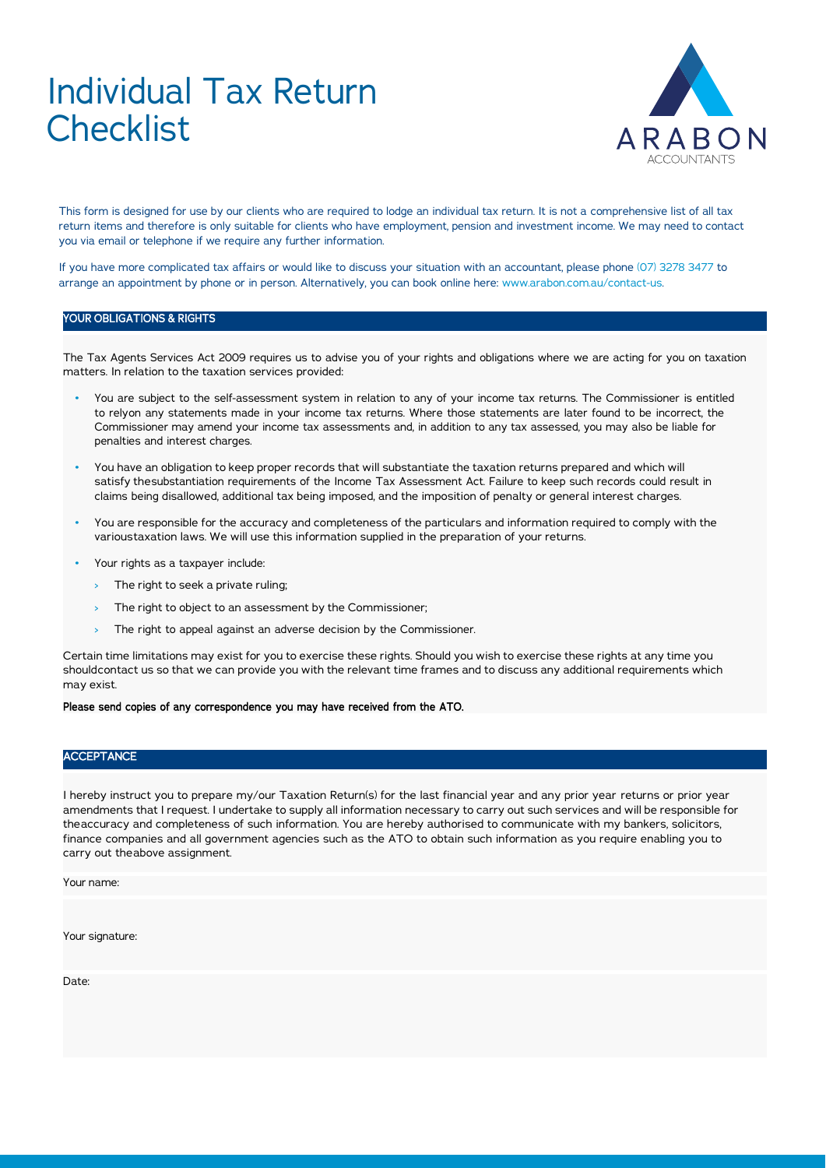# Individual Tax Return **Checklist**



This form is designed for use by our clients who are required to lodge an individual tax return. It is not a comprehensive list of all tax return items and therefore is only suitable for clients who have employment, pension and investment income. We may need to contact you via email or telephone if we require any further information.

If you have more complicated tax affairs or would like to discuss your situation with an accountant, please phone (07) 3278 3477 to arrange an appointment by phone or in person. Alternatively, you can book online here: www.arabon.com.au/contact-us.

#### YOUR OBLIGATIONS & RIGHTS

The Tax Agents Services Act 2009 requires us to advise you of your rights and obligations where we are acting for you on taxation matters. In relation to the taxation services provided:

- You are subject to the self-assessment system in relation to any of your income tax returns. The Commissioner is entitled to relyon any statements made in your income tax returns. Where those statements are later found to be incorrect, the Commissioner may amend your income tax assessments and, in addition to any tax assessed, you may also be liable for penalties and interest charges.
- You have an obligation to keep proper records that will substantiate the taxation returns prepared and which will satisfy thesubstantiation requirements of the Income Tax Assessment Act. Failure to keep such records could result in claims being disallowed, additional tax being imposed, and the imposition of penalty or general interest charges.
- You are responsible for the accuracy and completeness of the particulars and information required to comply with the varioustaxation laws. We will use this information supplied in the preparation of your returns.
- Your rights as a taxpayer include:
	- › The right to seek a private ruling;
	- > The right to object to an assessment by the Commissioner;
	- > The right to appeal against an adverse decision by the Commissioner.

Certain time limitations may exist for you to exercise these rights. Should you wish to exercise these rights at any time you shouldcontact us so that we can provide you with the relevant time frames and to discuss any additional requirements which may exist.

#### Please send copies of any correspondence you may have received from the ATO.

#### **ACCEPTANCE**

I hereby instruct you to prepare my/our Taxation Return(s) for the last financial year and any prior year returns or prior year amendments that I request. I undertake to supply all information necessary to carry out such services and will be responsible for theaccuracy and completeness of such information. You are hereby authorised to communicate with my bankers, solicitors, finance companies and all government agencies such as the ATO to obtain such information as you require enabling you to carry out theabove assignment.

Your name:

Your signature:

Date: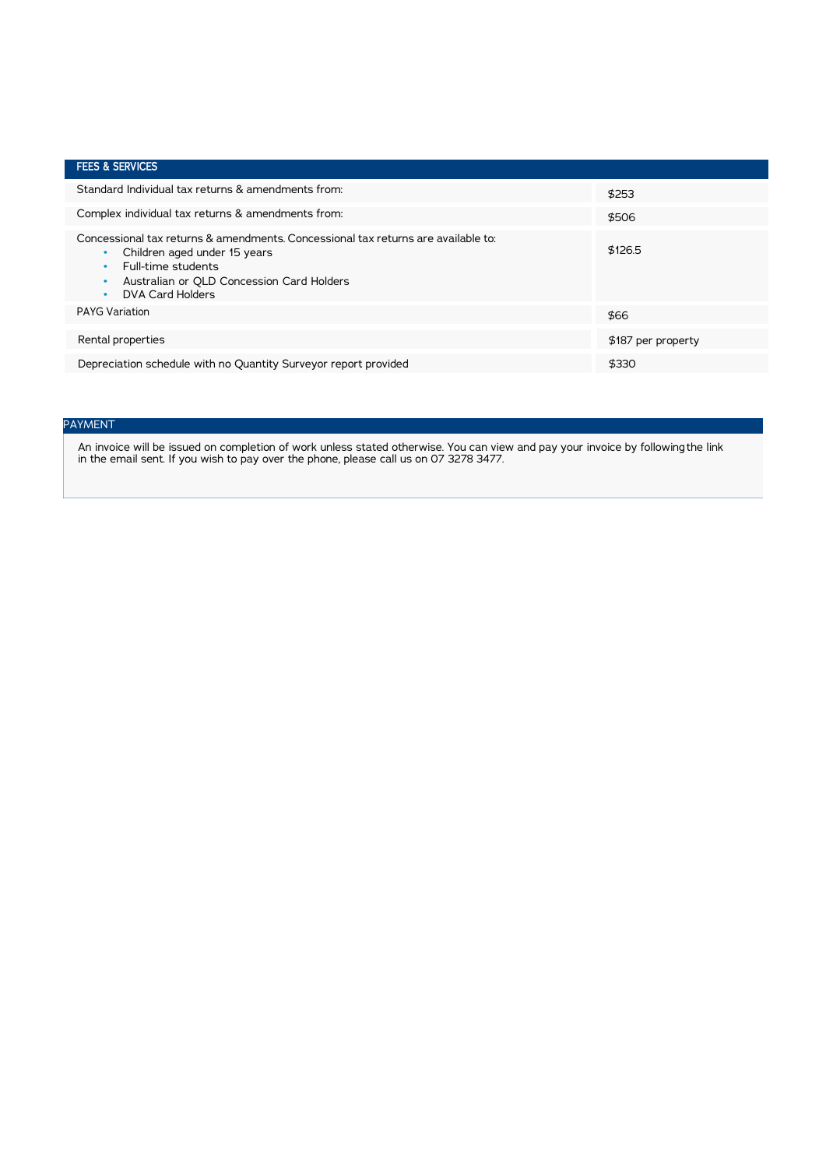| <b>FEES &amp; SERVICES</b>                                                                                                                                                                                                              |                    |
|-----------------------------------------------------------------------------------------------------------------------------------------------------------------------------------------------------------------------------------------|--------------------|
| Standard Individual tax returns & amendments from:                                                                                                                                                                                      | \$253              |
| Complex individual tax returns & amendments from:                                                                                                                                                                                       | \$506              |
| Concessional tax returns & amendments. Concessional tax returns are available to:<br>Children aged under 15 years<br>$\bullet$<br>Full-time students<br>$\bullet$<br>Australian or OLD Concession Card Holders<br>٠<br>DVA Card Holders | \$126.5            |
| <b>PAYG Variation</b>                                                                                                                                                                                                                   | \$66               |
| Rental properties                                                                                                                                                                                                                       | \$187 per property |
| Depreciation schedule with no Quantity Surveyor report provided                                                                                                                                                                         | \$330              |

## PAYMENT

An invoice will be issued on completion of work unless stated otherwise. You can view and pay your invoice by following the link in the email sent. If you wish to pay over the phone, please call us on 07 3278 3477.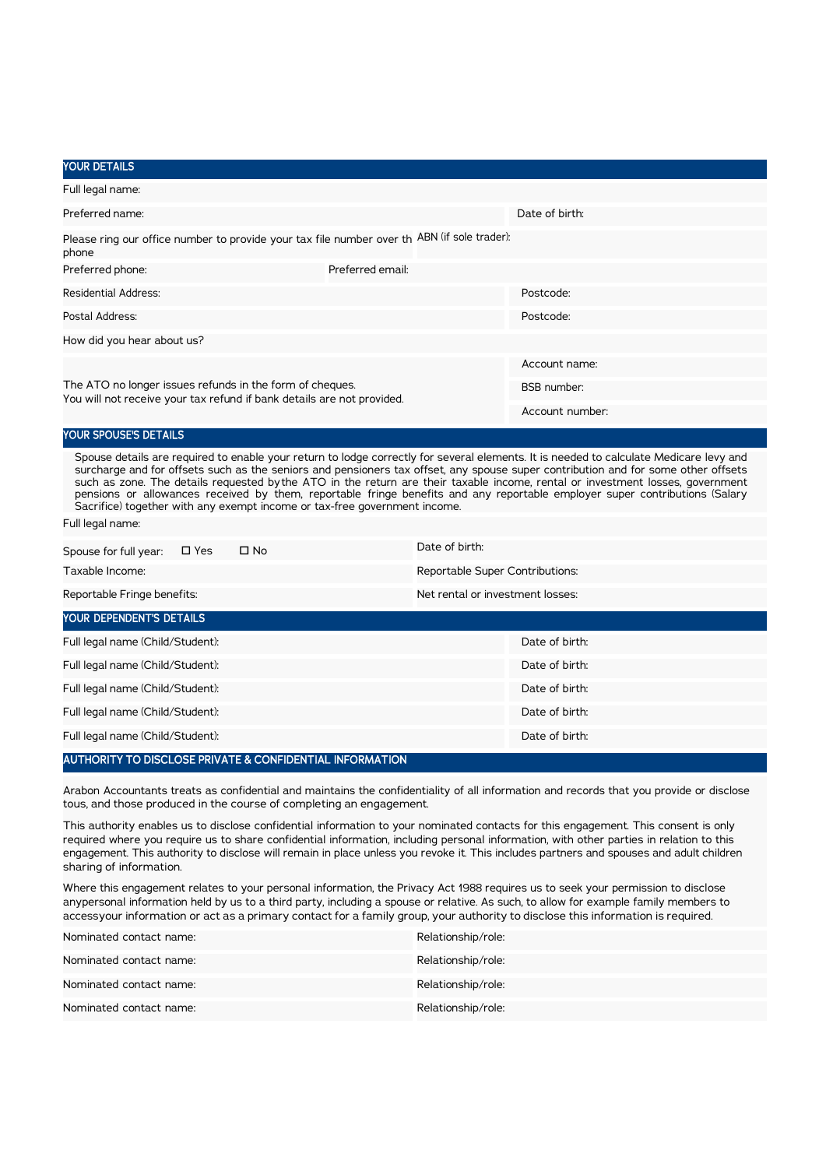### YOUR DETAILS

| Full legal name:                                                                                                                   |                  |                    |  |
|------------------------------------------------------------------------------------------------------------------------------------|------------------|--------------------|--|
| Preferred name:                                                                                                                    | Date of birth:   |                    |  |
| Please ring our office number to provide your tax file number over th ABN (if sole trader):<br>phone                               |                  |                    |  |
| Preferred phone:                                                                                                                   | Preferred email: |                    |  |
| Residential Address:                                                                                                               |                  | Postcode:          |  |
| Postal Address:                                                                                                                    |                  | Postcode:          |  |
| How did you hear about us?                                                                                                         |                  |                    |  |
|                                                                                                                                    | Account name:    |                    |  |
| The ATO no longer issues refunds in the form of cheques.<br>You will not receive your tax refund if bank details are not provided. |                  | <b>BSB</b> number: |  |
|                                                                                                                                    | Account number:  |                    |  |

## YOUR SPOUSE'S DETAILS

Spouse details are required to enable your return to lodge correctly for several elements. It is needed to calculate Medicare levy and surcharge and for offsets such as the seniors and pensioners tax offset, any spouse super contribution and for some other offsets such as zone. The details requested bythe ATO in the return are their taxable income, rental or investment losses, government pensions or allowances received by them, reportable fringe benefits and any reportable employer super contributions (Salary Sacrifice) together with any exempt income or tax-free government income.

Full legal name:

| $\Box$ No<br>Spouse for full year:<br>$\square$ Yes | Date of birth:                   |  |  |  |  |
|-----------------------------------------------------|----------------------------------|--|--|--|--|
| Taxable Income:                                     | Reportable Super Contributions:  |  |  |  |  |
| Reportable Fringe benefits:                         | Net rental or investment losses: |  |  |  |  |
| YOUR DEPENDENT'S DETAILS                            |                                  |  |  |  |  |
| Full legal name (Child/Student):                    | Date of birth:                   |  |  |  |  |
| Full legal name (Child/Student):                    | Date of birth:                   |  |  |  |  |
| Full legal name (Child/Student):                    | Date of birth:                   |  |  |  |  |
| Full legal name (Child/Student):                    | Date of birth:                   |  |  |  |  |
| Full legal name (Child/Student):                    | Date of birth:                   |  |  |  |  |

#### AUTHORITY TO DISCLOSE PRIVATE & CONFIDENTIAL INFORMATION

Arabon Accountants treats as confidential and maintains the confidentiality of all information and records that you provide or disclose tous, and those produced in the course of completing an engagement.

This authority enables us to disclose confidential information to your nominated contacts for this engagement. This consent is only required where you require us to share confidential information, including personal information, with other parties in relation to this engagement. This authority to disclose will remain in place unless you revoke it. This includes partners and spouses and adult children sharing of information.

Where this engagement relates to your personal information, the Privacy Act 1988 requires us to seek your permission to disclose anypersonal information held by us to a third party, including a spouse or relative. As such, to allow for example family members to accessyour information or act as a primary contact for a family group, your authority to disclose this information is required.

| Nominated contact name: | Relationship/role: |
|-------------------------|--------------------|
| Nominated contact name: | Relationship/role: |
| Nominated contact name: | Relationship/role: |
| Nominated contact name: | Relationship/role: |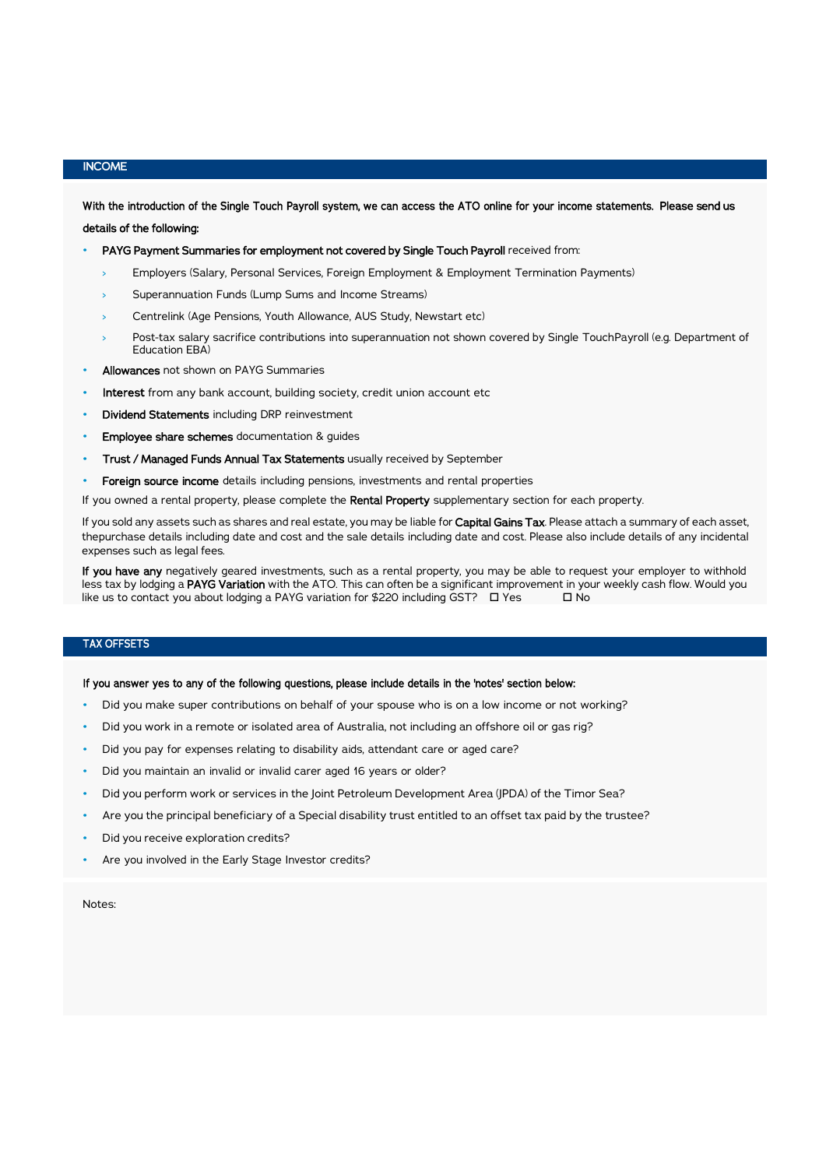## INCOME

With the introduction of the Single Touch Payroll system, we can access the ATO online for your income statements. Please send us details of the following:

PAYG Payment Summaries for employment not covered by Single Touch Payroll received from:

- Employers (Salary, Personal Services, Foreign Employment & Employment Termination Payments)
- Superannuation Funds (Lump Sums and Income Streams)
- Centrelink (Age Pensions, Youth Allowance, AUS Study, Newstart etc)
- Post-tax salary sacrifice contributions into superannuation not shown covered by Single TouchPayroll (e.g. Department of Education EBA)
- Allowances not shown on PAYG Summaries
- Interest from any bank account, building society, credit union account etc
- Dividend Statements including DRP reinvestment
- Employee share schemes documentation & guides
- Trust / Managed Funds Annual Tax Statements usually received by September
- Foreign source income details including pensions, investments and rental properties
- If you owned a rental property, please complete the Rental Property supplementary section for each property.

If you sold any assets such as shares and real estate, you may be liable for Capital Gains Tax. Please attach a summary of each asset, thepurchase details including date and cost and the sale details including date and cost. Please also include details of any incidental expenses such as legal fees.

If you have any negatively geared investments, such as a rental property, you may be able to request your employer to withhold less tax by lodging a PAYG Variation with the ATO. This can often be a significant improvement in your weekly cash flow. Would you like us to contact you about lodging a PAYG variation for \$220 including GST?  $\Box$  Yes  $\Box$  No

## TAX OFFSETS

#### If you answer yes to any of the following questions, please include details in the 'notes' section below:

- Did you make super contributions on behalf of your spouse who is on a low income or not working?
- Did you work in a remote or isolated area of Australia, not including an offshore oil or gas rig?
- Did you pay for expenses relating to disability aids, attendant care or aged care?
- Did you maintain an invalid or invalid carer aged 16 years or older?
- Did you perform work or services in the Joint Petroleum Development Area (JPDA) of the Timor Sea?
- Are you the principal beneficiary of a Special disability trust entitled to an offset tax paid by the trustee?
- Did you receive exploration credits?
- Are you involved in the Early Stage Investor credits?

Notes: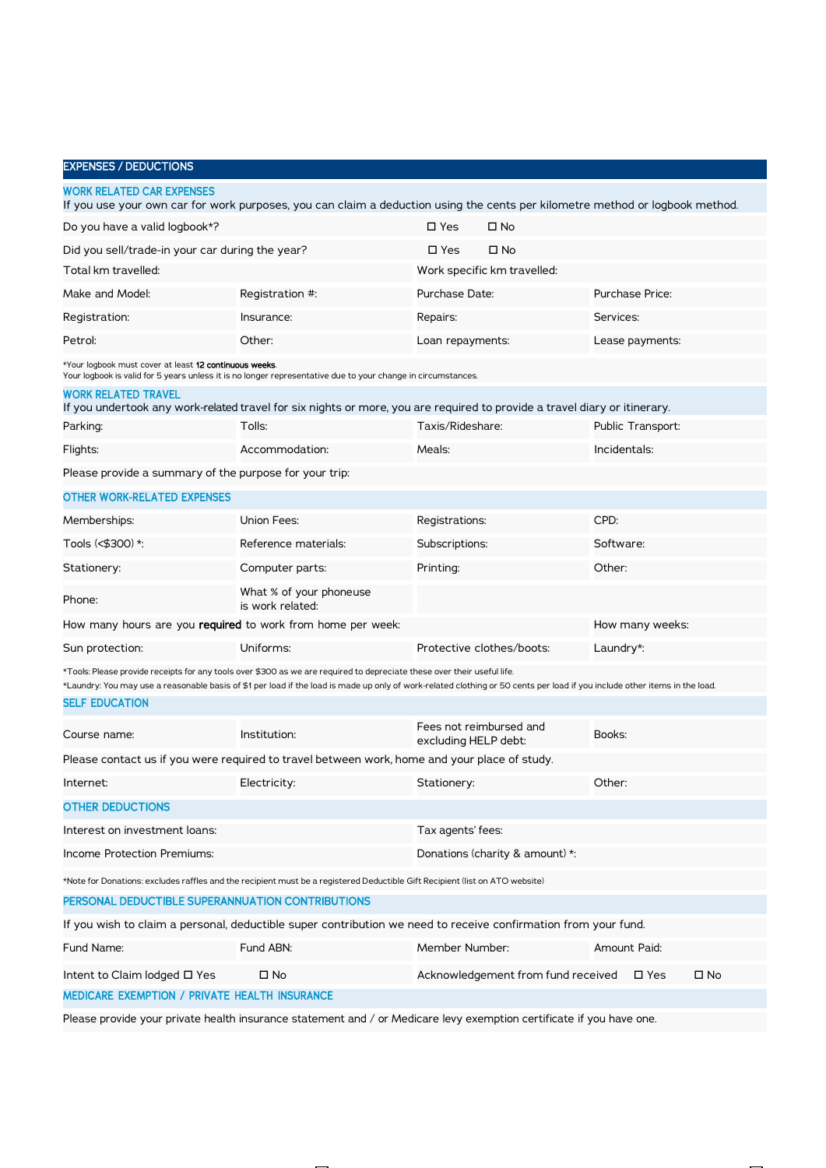| <b>EXPENSES / DEDUCTIONS</b>                                       |                                                                                                                                                                                                                                                                                                       |                      |                                    |                        |                 |              |
|--------------------------------------------------------------------|-------------------------------------------------------------------------------------------------------------------------------------------------------------------------------------------------------------------------------------------------------------------------------------------------------|----------------------|------------------------------------|------------------------|-----------------|--------------|
| <b>WORK RELATED CAR EXPENSES</b>                                   | If you use your own car for work purposes, you can claim a deduction using the cents per kilometre method or logbook method.                                                                                                                                                                          |                      |                                    |                        |                 |              |
| Do you have a valid logbook*?                                      |                                                                                                                                                                                                                                                                                                       | $\square$ Yes        | □ No                               |                        |                 |              |
| Did you sell/trade-in your car during the year?                    | $\square$ Yes                                                                                                                                                                                                                                                                                         | □ No                 |                                    |                        |                 |              |
| Total km travelled:                                                |                                                                                                                                                                                                                                                                                                       |                      | Work specific km travelled:        |                        |                 |              |
| Make and Model:                                                    | Registration #:                                                                                                                                                                                                                                                                                       | Purchase Date:       |                                    | <b>Purchase Price:</b> |                 |              |
| Registration:                                                      | Insurance:                                                                                                                                                                                                                                                                                            | Repairs:             |                                    | Services:              |                 |              |
| Petrol:                                                            | Other:                                                                                                                                                                                                                                                                                                | Loan repayments:     |                                    |                        | Lease payments: |              |
| *Your logbook must cover at least 12 continuous weeks.             | Your logbook is valid for 5 years unless it is no longer representative due to your change in circumstances.                                                                                                                                                                                          |                      |                                    |                        |                 |              |
| <b>WORK RELATED TRAVEL</b>                                         | If you undertook any work-related travel for six nights or more, you are required to provide a travel diary or itinerary.                                                                                                                                                                             |                      |                                    |                        |                 |              |
| Parking:                                                           | Tolls:                                                                                                                                                                                                                                                                                                | Taxis/Rideshare:     |                                    | Public Transport:      |                 |              |
| Flights:                                                           | Accommodation:                                                                                                                                                                                                                                                                                        | Meals:               |                                    | Incidentals:           |                 |              |
| Please provide a summary of the purpose for your trip:             |                                                                                                                                                                                                                                                                                                       |                      |                                    |                        |                 |              |
| <b>OTHER WORK-RELATED EXPENSES</b>                                 |                                                                                                                                                                                                                                                                                                       |                      |                                    |                        |                 |              |
| Memberships:                                                       | Union Fees:                                                                                                                                                                                                                                                                                           | Registrations:       |                                    | CPD:                   |                 |              |
| Tools (<\$300) *:                                                  | Reference materials:                                                                                                                                                                                                                                                                                  | Subscriptions:       |                                    | Software:              |                 |              |
| Stationery:                                                        | Computer parts:                                                                                                                                                                                                                                                                                       | Printing:            |                                    | Other:                 |                 |              |
| Phone:                                                             | What % of your phoneuse<br>is work related:                                                                                                                                                                                                                                                           |                      |                                    |                        |                 |              |
| How many hours are you <b>required</b> to work from home per week: |                                                                                                                                                                                                                                                                                                       |                      |                                    |                        | How many weeks: |              |
| Sun protection:                                                    | Uniforms:                                                                                                                                                                                                                                                                                             |                      | Protective clothes/boots:          | Laundry*:              |                 |              |
|                                                                    | *Tools: Please provide receipts for any tools over \$300 as we are required to depreciate these over their useful life.<br>*Laundry: You may use a reasonable basis of \$1 per load if the load is made up only of work-related clothing or 50 cents per load if you include other items in the load. |                      |                                    |                        |                 |              |
| <b>SELF EDUCATION</b>                                              |                                                                                                                                                                                                                                                                                                       |                      |                                    |                        |                 |              |
| Course name:                                                       | Institution:                                                                                                                                                                                                                                                                                          | excluding HELP debt: | Fees not reimbursed and            | Books:                 |                 |              |
|                                                                    | Please contact us if you were required to travel between work, home and your place of study.                                                                                                                                                                                                          |                      |                                    |                        |                 |              |
| Internet:                                                          | Electricity:                                                                                                                                                                                                                                                                                          | Stationery:          |                                    | Other:                 |                 |              |
| <b>OTHER DEDUCTIONS</b>                                            |                                                                                                                                                                                                                                                                                                       |                      |                                    |                        |                 |              |
| Interest on investment loans:                                      |                                                                                                                                                                                                                                                                                                       | Tax agents' fees:    |                                    |                        |                 |              |
| <b>Income Protection Premiums:</b>                                 |                                                                                                                                                                                                                                                                                                       |                      | Donations (charity & amount) *:    |                        |                 |              |
|                                                                    | *Note for Donations: excludes raffles and the recipient must be a registered Deductible Gift Recipient (list on ATO website)                                                                                                                                                                          |                      |                                    |                        |                 |              |
| PERSONAL DEDUCTIBLE SUPERANNUATION CONTRIBUTIONS                   |                                                                                                                                                                                                                                                                                                       |                      |                                    |                        |                 |              |
|                                                                    | If you wish to claim a personal, deductible super contribution we need to receive confirmation from your fund.                                                                                                                                                                                        |                      |                                    |                        |                 |              |
| Fund Name:                                                         | Fund ABN:                                                                                                                                                                                                                                                                                             | Member Number:       |                                    | Amount Paid:           |                 |              |
| Intent to Claim lodged □ Yes                                       | □ No                                                                                                                                                                                                                                                                                                  |                      | Acknowledgement from fund received |                        | $\square$ Yes   | $\square$ No |
| MEDICARE EXEMPTION / PRIVATE HEALTH INSURANCE                      |                                                                                                                                                                                                                                                                                                       |                      |                                    |                        |                 |              |
|                                                                    |                                                                                                                                                                                                                                                                                                       |                      |                                    |                        |                 |              |

Please provide your private health insurance statement and / or Medicare levy exemption certificate if you have one.